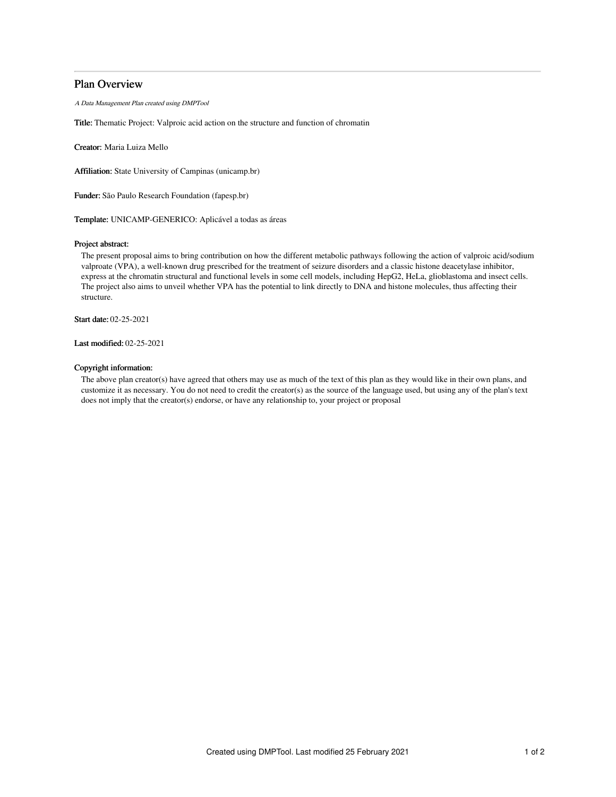# Plan Overview

A Data Management Plan created using DMPTool

Title: Thematic Project: Valproic acid action on the structure and function of chromatin

Creator: Maria Luiza Mello

Affiliation: State University of Campinas (unicamp.br)

Funder: São Paulo Research Foundation (fapesp.br)

Template: UNICAMP-GENERICO: Aplicável a todas as áreas

## Project abstract:

The present proposal aims to bring contribution on how the different metabolic pathways following the action of valproic acid/sodium valproate (VPA), a well-known drug prescribed for the treatment of seizure disorders and a classic histone deacetylase inhibitor, express at the chromatin structural and functional levels in some cell models, including HepG2, HeLa, glioblastoma and insect cells. The project also aims to unveil whether VPA has the potential to link directly to DNA and histone molecules, thus affecting their structure.

Start date: 02-25-2021

Last modified: 02-25-2021

### Copyright information:

The above plan creator(s) have agreed that others may use as much of the text of this plan as they would like in their own plans, and customize it as necessary. You do not need to credit the creator(s) as the source of the language used, but using any of the plan's text does not imply that the creator(s) endorse, or have any relationship to, your project or proposal